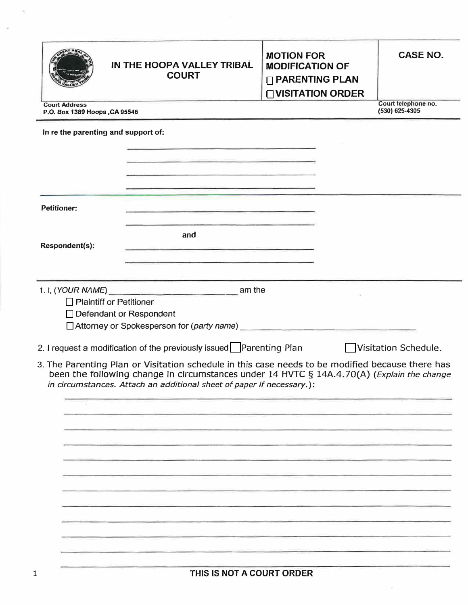|                                                       | IN THE HOOPA VALLEY TRIBAL<br><b>COURT</b>                                                                                                                                                                                                                                                                                            | <b>MOTION FOR</b><br><b>MODIFICATION OF</b><br>□ PARENTING PLAN<br><b>□ VISITATION ORDER</b> | <b>CASE NO.</b>                       |
|-------------------------------------------------------|---------------------------------------------------------------------------------------------------------------------------------------------------------------------------------------------------------------------------------------------------------------------------------------------------------------------------------------|----------------------------------------------------------------------------------------------|---------------------------------------|
| <b>Court Address</b><br>P.O. Box 1389 Hoopa, CA 95546 |                                                                                                                                                                                                                                                                                                                                       |                                                                                              | Court telephone no.<br>(530) 625-4305 |
| In re the parenting and support of:                   | and the company of the company of the company of the company of the company of the company of<br><u> Andreas Albert (Andreas Andreas Andreas Andreas Andreas Andreas Andreas Andreas Andreas Andreas Andreas Andreas Andreas Andreas Andreas Andreas Andreas Andreas Andreas Andreas Andreas Andreas Andreas Andreas Andreas Andr</u> |                                                                                              |                                       |
|                                                       | <u> La San Alban (1989), provincia de la San Alban (1989), provincia de la San Alban (1989), provincia de la San Alban (1989), provincia de la San Alban (1989), provincia de la San Alban (1989), provincia de la San Alban (19</u>                                                                                                  |                                                                                              |                                       |
| <b>Petitioner:</b>                                    | and and the company of the company of the company of the company of the company of the company of the company of                                                                                                                                                                                                                      |                                                                                              |                                       |
| Respondent(s):                                        | <u> 1980 - Andrew Marie Barbara, markazi eta idazlea (h. 1982).</u><br>and<br>and a strict of the state of the control of the control of the control of the control of the control of the control of the control of the control of the control of the control of the control of the control of the control o                          |                                                                                              |                                       |
|                                                       |                                                                                                                                                                                                                                                                                                                                       |                                                                                              |                                       |
|                                                       | am the<br>$\Box$ Plaintiff or Petitioner<br>$\Box$ Defendant or Respondent                                                                                                                                                                                                                                                            |                                                                                              |                                       |
|                                                       | 2. I request a modification of the previously issued Parenting Plan                                                                                                                                                                                                                                                                   |                                                                                              | Visitation Schedule.                  |
|                                                       | 3. The Parenting Plan or Visitation schedule in this case needs to be modified because there has<br>been the following change in circumstances under 14 HVTC § 14A.4.70(A) (Explain the change<br>in circumstances. Attach an additional sheet of paper if necessary.):                                                               |                                                                                              |                                       |
|                                                       |                                                                                                                                                                                                                                                                                                                                       |                                                                                              |                                       |
|                                                       |                                                                                                                                                                                                                                                                                                                                       |                                                                                              |                                       |
|                                                       |                                                                                                                                                                                                                                                                                                                                       |                                                                                              |                                       |
|                                                       |                                                                                                                                                                                                                                                                                                                                       |                                                                                              |                                       |
|                                                       |                                                                                                                                                                                                                                                                                                                                       |                                                                                              |                                       |
|                                                       |                                                                                                                                                                                                                                                                                                                                       |                                                                                              |                                       |
|                                                       |                                                                                                                                                                                                                                                                                                                                       |                                                                                              |                                       |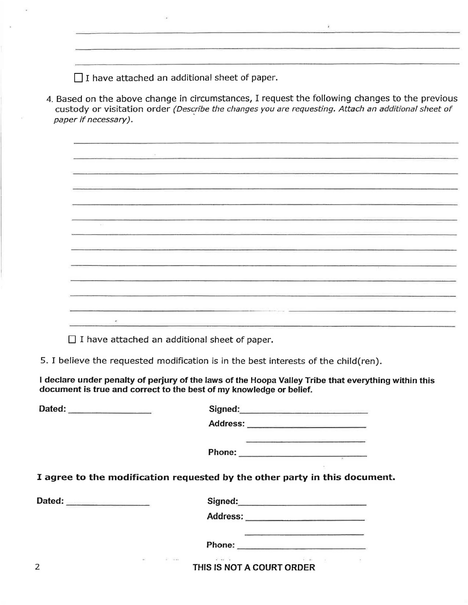$\Box$  I have attached an additional sheet of paper.

4. Based on the above change in circumstances, I request the following changes to the previous custody or visitation order (Describe the changes you are requesting. Attach an additional sheet of paper if necessary).

 $\tilde{Y}$ 

<u> 1989 - Andrea Andrew Marie (b. 1989)</u> 

 $\Box$  I have attached an additional sheet of paper.

5. I believe the requested modification is in the best interests of the child(ren).

I **declare under penalty of perjury of the laws of the Hoopa Valley Tribe that everything within this document is true and correct to the best of my knowledge or belief.** 

| Dated:                   |                                                                                                                 |  |
|--------------------------|-----------------------------------------------------------------------------------------------------------------|--|
|                          |                                                                                                                 |  |
|                          | the problem with the control and the control of the control of the control of the control of the control of the |  |
|                          |                                                                                                                 |  |
|                          | I agree to the modification requested by the other party in this document.                                      |  |
| Dated: _________________ |                                                                                                                 |  |
|                          |                                                                                                                 |  |
|                          |                                                                                                                 |  |